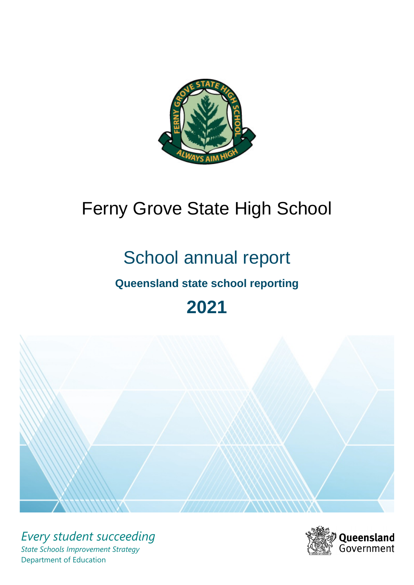

# Ferny Grove State High School

# School annual report

# **Queensland state school reporting**

# **2021**



*Every student succeeding State Schools Improvement Strategy* Department of Education

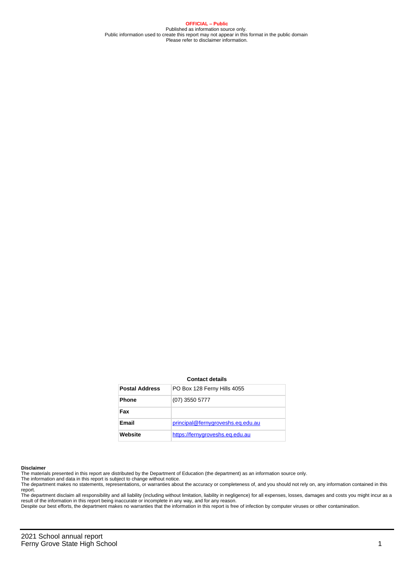**OFFICIAL – Public** Published as information source only. Public information used to create this report may not appear in this format in the public domain Please refer to disclaimer information.

#### **Contact details**

| <b>Postal Address</b> | PO Box 128 Ferny Hills 4055       |
|-----------------------|-----------------------------------|
| <b>Phone</b>          | $(07)$ 3550 5777                  |
| Fax                   |                                   |
| Email                 | principal@fernygroveshs.eq.edu.au |
| Website               | https://fernygroveshs.eg.edu.au   |

#### **Disclaimer**

The materials presented in this report are distributed by the Department of Education (the department) as an information source only.

The information and data in this report is subject to change without notice.<br>The department makes no statements, representations, or warranties about the accuracy or completeness of, and you should not rely on, any informa report. The department disclaim all responsibility and all liability (including without limitation, liability in negligence) for all expenses, losses, damages and costs you might incur as a

result of the information in this report being inaccurate or incomplete in any way, and for any reason.

Despite our best efforts, the department makes no warranties that the information in this report is free of infection by computer viruses or other contamination.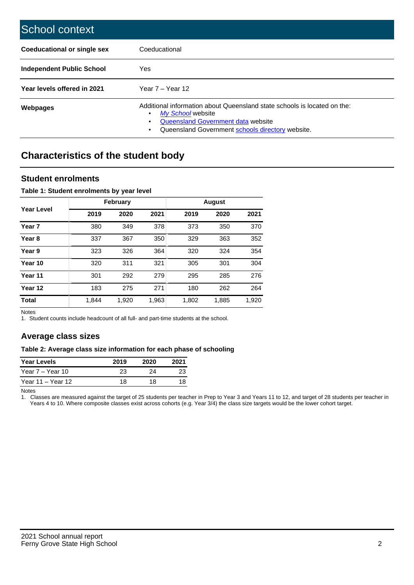| School context                     |                                                                                                                                                                                                   |
|------------------------------------|---------------------------------------------------------------------------------------------------------------------------------------------------------------------------------------------------|
| <b>Coeducational or single sex</b> | Coeducational                                                                                                                                                                                     |
| Independent Public School          | <b>Yes</b>                                                                                                                                                                                        |
| Year levels offered in 2021        | Year $7 -$ Year 12                                                                                                                                                                                |
| Webpages                           | Additional information about Queensland state schools is located on the:<br>My School website<br>٠<br>Queensland Government data website<br>Queensland Government schools directory website.<br>٠ |

# **Characteristics of the student body**

## **Student enrolments**

### **Table 1: Student enrolments by year level**

|                   |       | <b>February</b> |       |       | <b>August</b> |       |
|-------------------|-------|-----------------|-------|-------|---------------|-------|
| Year Level        | 2019  | 2020            | 2021  | 2019  | 2020          | 2021  |
| Year <sub>7</sub> | 380   | 349             | 378   | 373   | 350           | 370   |
| Year <sub>8</sub> | 337   | 367             | 350   | 329   | 363           | 352   |
| Year 9            | 323   | 326             | 364   | 320   | 324           | 354   |
| Year 10           | 320   | 311             | 321   | 305   | 301           | 304   |
| Year 11           | 301   | 292             | 279   | 295   | 285           | 276   |
| Year 12           | 183   | 275             | 271   | 180   | 262           | 264   |
| <b>Total</b>      | 1,844 | 1,920           | 1,963 | 1,802 | 1,885         | 1,920 |

Notes

1. Student counts include headcount of all full- and part-time students at the school.

# **Average class sizes**

#### **Table 2: Average class size information for each phase of schooling**

| <b>Year Levels</b> | 2019 | 2020 | 2021 |
|--------------------|------|------|------|
| Year 7 – Year 10   | 23   | 24   | 23   |
| Year 11 – Year 12  | 18   | 18   | 18   |

Notes

1. Classes are measured against the target of 25 students per teacher in Prep to Year 3 and Years 11 to 12, and target of 28 students per teacher in Years 4 to 10. Where composite classes exist across cohorts (e.g. Year 3/4) the class size targets would be the lower cohort target.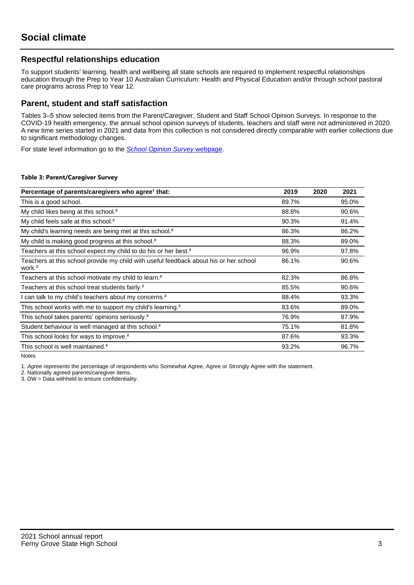# **Respectful relationships education**

To support students' learning, health and wellbeing all state schools are required to implement respectful relationships education through the Prep to Year 10 Australian Curriculum: Health and Physical Education and/or through school pastoral care programs across Prep to Year 12.

## **Parent, student and staff satisfaction**

Tables 3–5 show selected items from the Parent/Caregiver, Student and Staff School Opinion Surveys. In response to the COVID-19 health emergency, the annual school opinion surveys of students, teachers and staff were not administered in 2020. A new time series started in 2021 and data from this collection is not considered directly comparable with earlier collections due to significant methodology changes.

For state level information go to the **[School Opinion Survey](https://qed.qld.gov.au/publications/reports/statistics/schooling/schools/schoolopinionsurvey) webpage**.

#### **Table 3: Parent/Caregiver Survey**

| Percentage of parents/caregivers who agree <sup>1</sup> that:                                               | 2019  | 2020 | 2021  |
|-------------------------------------------------------------------------------------------------------------|-------|------|-------|
| This is a good school.                                                                                      | 89.7% |      | 95.0% |
| My child likes being at this school. <sup>2</sup>                                                           | 88.8% |      | 90.6% |
| My child feels safe at this school. <sup>2</sup>                                                            | 90.3% |      | 91.4% |
| My child's learning needs are being met at this school. <sup>2</sup>                                        | 86.3% |      | 86.2% |
| My child is making good progress at this school. <sup>2</sup>                                               | 88.3% |      | 89.0% |
| Teachers at this school expect my child to do his or her best. <sup>2</sup>                                 | 96.9% |      | 97.8% |
| Teachers at this school provide my child with useful feedback about his or her school<br>work. <sup>2</sup> | 86.1% |      | 90.6% |
| Teachers at this school motivate my child to learn. <sup>2</sup>                                            | 82.3% |      | 86.8% |
| Teachers at this school treat students fairly. <sup>2</sup>                                                 | 85.5% |      | 90.6% |
| can talk to my child's teachers about my concerns. <sup>2</sup>                                             | 88.4% |      | 93.3% |
| This school works with me to support my child's learning. <sup>2</sup>                                      | 83.6% |      | 89.0% |
| This school takes parents' opinions seriously. <sup>2</sup>                                                 | 76.9% |      | 87.9% |
| Student behaviour is well managed at this school. <sup>2</sup>                                              | 75.1% |      | 81.8% |
| This school looks for ways to improve. <sup>2</sup>                                                         | 87.6% |      | 93.3% |
| This school is well maintained. <sup>2</sup>                                                                | 93.2% |      | 96.7% |

Notes

1. Agree represents the percentage of respondents who Somewhat Agree, Agree or Strongly Agree with the statement.

2. Nationally agreed parents/caregiver items.

3. DW = Data withheld to ensure confidentiality.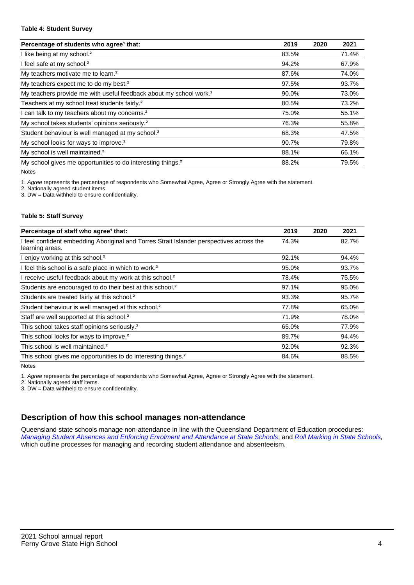#### **Table 4: Student Survey**

| Percentage of students who agree <sup>1</sup> that:                            | 2019  | 2020 | 2021  |
|--------------------------------------------------------------------------------|-------|------|-------|
| I like being at my school. <sup>2</sup>                                        | 83.5% |      | 71.4% |
| I feel safe at my school. <sup>2</sup>                                         | 94.2% |      | 67.9% |
| My teachers motivate me to learn. <sup>2</sup>                                 | 87.6% |      | 74.0% |
| My teachers expect me to do my best. <sup>2</sup>                              | 97.5% |      | 93.7% |
| My teachers provide me with useful feedback about my school work. <sup>2</sup> | 90.0% |      | 73.0% |
| Teachers at my school treat students fairly. <sup>2</sup>                      | 80.5% |      | 73.2% |
| I can talk to my teachers about my concerns. <sup>2</sup>                      | 75.0% |      | 55.1% |
| My school takes students' opinions seriously. <sup>2</sup>                     | 76.3% |      | 55.8% |
| Student behaviour is well managed at my school. <sup>2</sup>                   | 68.3% |      | 47.5% |
| My school looks for ways to improve. <sup>2</sup>                              | 90.7% |      | 79.8% |
| My school is well maintained. <sup>2</sup>                                     | 88.1% |      | 66.1% |
| My school gives me opportunities to do interesting things. <sup>2</sup>        | 88.2% |      | 79.5% |

Notes

1. Agree represents the percentage of respondents who Somewhat Agree, Agree or Strongly Agree with the statement.

2. Nationally agreed student items.

3. DW = Data withheld to ensure confidentiality.

### **Table 5: Staff Survey**

| Percentage of staff who agree <sup>1</sup> that:                                                            | 2019  | 2020 | 2021  |
|-------------------------------------------------------------------------------------------------------------|-------|------|-------|
| I feel confident embedding Aboriginal and Torres Strait Islander perspectives across the<br>learning areas. | 74.3% |      | 82.7% |
| I enjoy working at this school. <sup>2</sup>                                                                | 92.1% |      | 94.4% |
| I feel this school is a safe place in which to work. <sup>2</sup>                                           | 95.0% |      | 93.7% |
| I receive useful feedback about my work at this school. <sup>2</sup>                                        | 78.4% |      | 75.5% |
| Students are encouraged to do their best at this school. <sup>2</sup>                                       | 97.1% |      | 95.0% |
| Students are treated fairly at this school. <sup>2</sup>                                                    | 93.3% |      | 95.7% |
| Student behaviour is well managed at this school. <sup>2</sup>                                              | 77.8% |      | 65.0% |
| Staff are well supported at this school. <sup>2</sup>                                                       | 71.9% |      | 78.0% |
| This school takes staff opinions seriously. <sup>2</sup>                                                    | 65.0% |      | 77.9% |
| This school looks for ways to improve. <sup>2</sup>                                                         | 89.7% |      | 94.4% |
| This school is well maintained. <sup>2</sup>                                                                | 92.0% |      | 92.3% |
| This school gives me opportunities to do interesting things. <sup>2</sup>                                   | 84.6% |      | 88.5% |

Notes

1. Agree represents the percentage of respondents who Somewhat Agree, Agree or Strongly Agree with the statement.

2. Nationally agreed staff items.

3. DW = Data withheld to ensure confidentiality.

# **Description of how this school manages non-attendance**

Queensland state schools manage non-attendance in line with the Queensland Department of Education procedures: [Managing Student Absences and Enforcing Enrolment and Attendance at State Schools](https://ppr.qed.qld.gov.au/pp/managing-student-absences-and-enforcing-enrolment-and-attendance-at-state-schools-procedure); and [Roll Marking in State Schools,](https://ppr.qed.qld.gov.au/pp/roll-marking-in-state-schools-procedure) which outline processes for managing and recording student attendance and absenteeism.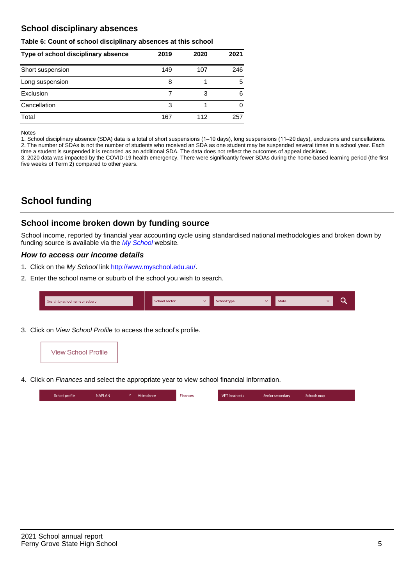# **School disciplinary absences**

#### **Table 6: Count of school disciplinary absences at this school**

| Type of school disciplinary absence | 2019 | 2020 | 2021 |
|-------------------------------------|------|------|------|
| Short suspension                    | 149  | 107  | 246  |
| Long suspension                     | 8    |      | 5    |
| Exclusion                           |      | 3    | 6    |
| Cancellation                        | 3    |      |      |
| Total                               | 167  | 112  | 257  |

Notes

1. School disciplinary absence (SDA) data is a total of short suspensions (1–10 days), long suspensions (11–20 days), exclusions and cancellations. 2. The number of SDAs is not the number of students who received an SDA as one student may be suspended several times in a school year. Each time a student is suspended it is recorded as an additional SDA. The data does not reflect the outcomes of appeal decisions.

3. 2020 data was impacted by the COVID-19 health emergency. There were significantly fewer SDAs during the home-based learning period (the first five weeks of Term 2) compared to other years.

# **School funding**

## **School income broken down by funding source**

School income, reported by financial year accounting cycle using standardised national methodologies and broken down by funding source is available via the [My School](http://www.myschool.edu.au/) website.

## **How to access our income details**

- 1. Click on the My School link <http://www.myschool.edu.au/>.
- 2. Enter the school name or suburb of the school you wish to search.

| Search by school name or suburb | <b>School sector</b> | <b>School type</b> | <b>State</b> |  |
|---------------------------------|----------------------|--------------------|--------------|--|
|                                 |                      |                    |              |  |

3. Click on View School Profile to access the school's profile.



4. Click on Finances and select the appropriate year to view school financial information.

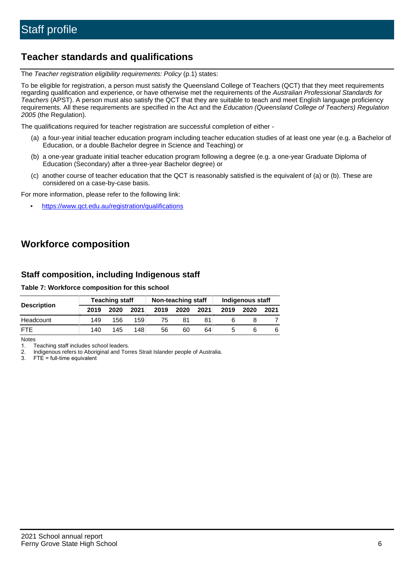# **Teacher standards and qualifications**

The Teacher registration eligibility requirements: Policy (p.1) states:

To be eligible for registration, a person must satisfy the Queensland College of Teachers (QCT) that they meet requirements regarding qualification and experience, or have otherwise met the requirements of the Australian Professional Standards for Teachers (APST). A person must also satisfy the QCT that they are suitable to teach and meet English language proficiency requirements. All these requirements are specified in the Act and the Education (Queensland College of Teachers) Regulation 2005 (the Regulation).

The qualifications required for teacher registration are successful completion of either -

- (a) a four-year initial teacher education program including teacher education studies of at least one year (e.g. a Bachelor of Education, or a double Bachelor degree in Science and Teaching) or
- (b) a one-year graduate initial teacher education program following a degree (e.g. a one-year Graduate Diploma of Education (Secondary) after a three-year Bachelor degree) or
- (c) another course of teacher education that the QCT is reasonably satisfied is the equivalent of (a) or (b). These are considered on a case-by-case basis.

For more information, please refer to the following link:

• <https://www.qct.edu.au/registration/qualifications>

# **Workforce composition**

# **Staff composition, including Indigenous staff**

### **Table 7: Workforce composition for this school**

|                    | <b>Teaching staff</b> |      |      | Non-teaching staff |      |      | Indigenous staff |      |      |
|--------------------|-----------------------|------|------|--------------------|------|------|------------------|------|------|
| <b>Description</b> | 2019                  | 2020 | 2021 | 2019               | 2020 | 2021 | 2019             | 2020 | 2021 |
| Headcount          | 149                   | 156  | 159  | 75                 | 81   |      |                  |      |      |
| <b>FTF</b>         | 140                   | 145  | 148  | 56                 | 60   | 64   |                  |      | 6    |

Notes

1. Teaching staff includes school leaders.

2. Indigenous refers to Aboriginal and Torres Strait Islander people of Australia.

3. FTE = full-time equivalent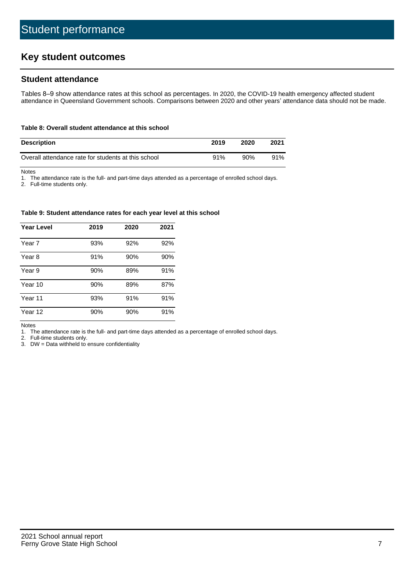# **Key student outcomes**

## **Student attendance**

Tables 8–9 show attendance rates at this school as percentages. In 2020, the COVID-19 health emergency affected student attendance in Queensland Government schools. Comparisons between 2020 and other years' attendance data should not be made.

#### **Table 8: Overall student attendance at this school**

| <b>Description</b>                                  | 2019 | 2020 | 2021 |
|-----------------------------------------------------|------|------|------|
| Overall attendance rate for students at this school | 91%  | 90%  | 91%  |

Notes

1. The attendance rate is the full- and part-time days attended as a percentage of enrolled school days.

2. Full-time students only.

#### **Table 9: Student attendance rates for each year level at this school**

| <b>Year Level</b> | 2019 | 2020 | 2021 |
|-------------------|------|------|------|
| Year 7            | 93%  | 92%  | 92%  |
| Year 8            | 91%  | 90%  | 90%  |
| Year 9            | 90%  | 89%  | 91%  |
| Year 10           | 90%  | 89%  | 87%  |
| Year 11           | 93%  | 91%  | 91%  |
| Year 12           | 90%  | 90%  | 91%  |

Notes

1. The attendance rate is the full- and part-time days attended as a percentage of enrolled school days.

2. Full-time students only.

3. DW = Data withheld to ensure confidentiality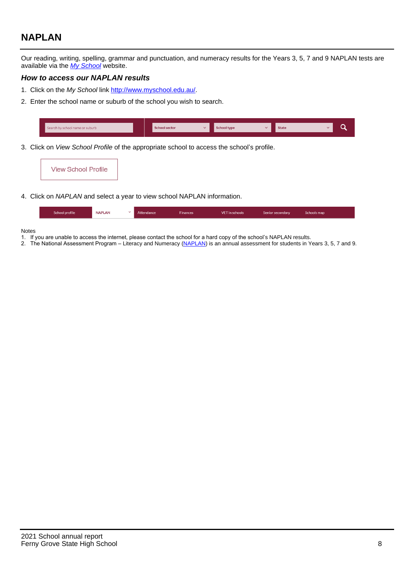# **NAPLAN**

Our reading, writing, spelling, grammar and punctuation, and numeracy results for the Years 3, 5, 7 and 9 NAPLAN tests are available via the [My School](http://www.myschool.edu.au/) website.

## **How to access our NAPLAN results**

- 1. Click on the My School link <http://www.myschool.edu.au/>.
- 2. Enter the school name or suburb of the school you wish to search.

| Search by school name or suburb | <b>School sector</b> | <b>School type</b>                        |          | <b>State</b> |  |
|---------------------------------|----------------------|-------------------------------------------|----------|--------------|--|
|                                 |                      |                                           |          |              |  |
|                                 |                      | $\sim$ $\sim$ $\sim$ $\sim$ $\sim$ $\sim$ | $\cdots$ |              |  |

3. Click on View School Profile of the appropriate school to access the school's profile.



4. Click on NAPLAN and select a year to view school NAPLAN information.

|--|

#### Notes

- 1. If you are unable to access the internet, please contact the school for a hard copy of the school's NAPLAN results.
- 2. The National Assessment Program Literacy and Numeracy ([NAPLAN\)](http://www.nap.edu.au/naplan) is an annual assessment for students in Years 3, 5, 7 and 9.